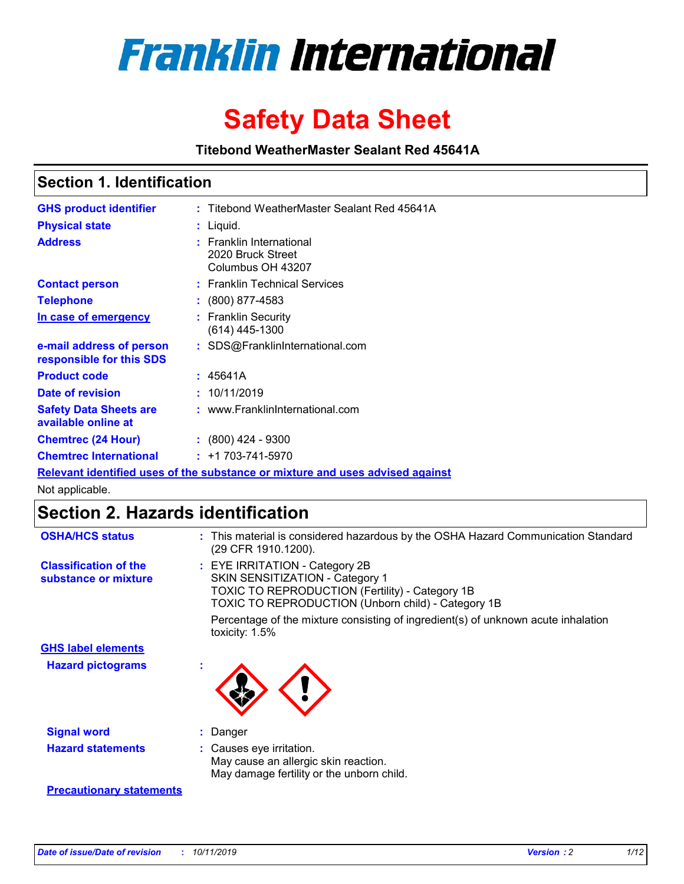

# **Safety Data Sheet**

**Titebond WeatherMaster Sealant Red 45641A**

### **Section 1. Identification**

| <b>GHS product identifier</b>                                                 |  | : Titebond WeatherMaster Sealant Red 45641A                        |  |  |  |
|-------------------------------------------------------------------------------|--|--------------------------------------------------------------------|--|--|--|
| <b>Physical state</b>                                                         |  | : Liquid.                                                          |  |  |  |
| <b>Address</b>                                                                |  | : Franklin International<br>2020 Bruck Street<br>Columbus OH 43207 |  |  |  |
| <b>Contact person</b>                                                         |  | : Franklin Technical Services                                      |  |  |  |
| <b>Telephone</b>                                                              |  | $\div$ (800) 877-4583                                              |  |  |  |
| In case of emergency                                                          |  | : Franklin Security<br>(614) 445-1300                              |  |  |  |
| e-mail address of person<br>responsible for this SDS                          |  | : SDS@FranklinInternational.com                                    |  |  |  |
| <b>Product code</b>                                                           |  | : 45641A                                                           |  |  |  |
| Date of revision                                                              |  | : 10/11/2019                                                       |  |  |  |
| <b>Safety Data Sheets are</b><br>available online at                          |  | : www.FranklinInternational.com                                    |  |  |  |
| <b>Chemtrec (24 Hour)</b>                                                     |  | $\div$ (800) 424 - 9300                                            |  |  |  |
| <b>Chemtrec International</b>                                                 |  | $: +1703 - 741 - 5970$                                             |  |  |  |
| Relevant identified uses of the substance or mixture and uses advised against |  |                                                                    |  |  |  |

Not applicable.

## **Section 2. Hazards identification**

| <b>OSHA/HCS status</b>                               | : This material is considered hazardous by the OSHA Hazard Communication Standard<br>(29 CFR 1910.1200).                                                                                 |
|------------------------------------------------------|------------------------------------------------------------------------------------------------------------------------------------------------------------------------------------------|
| <b>Classification of the</b><br>substance or mixture | : EYE IRRITATION - Category 2B<br>SKIN SENSITIZATION - Category 1<br><b>TOXIC TO REPRODUCTION (Fertility) - Category 1B</b><br><b>TOXIC TO REPRODUCTION (Unborn child) - Category 1B</b> |
|                                                      | Percentage of the mixture consisting of ingredient(s) of unknown acute inhalation<br>toxicity: $1.5\%$                                                                                   |
| <b>GHS label elements</b>                            |                                                                                                                                                                                          |
| <b>Hazard pictograms</b>                             |                                                                                                                                                                                          |
| <b>Signal word</b>                                   | : Danger                                                                                                                                                                                 |
| <b>Hazard statements</b>                             | : Causes eye irritation.<br>May cause an allergic skin reaction.<br>May damage fertility or the unborn child.                                                                            |
| <b>Precautionary statements</b>                      |                                                                                                                                                                                          |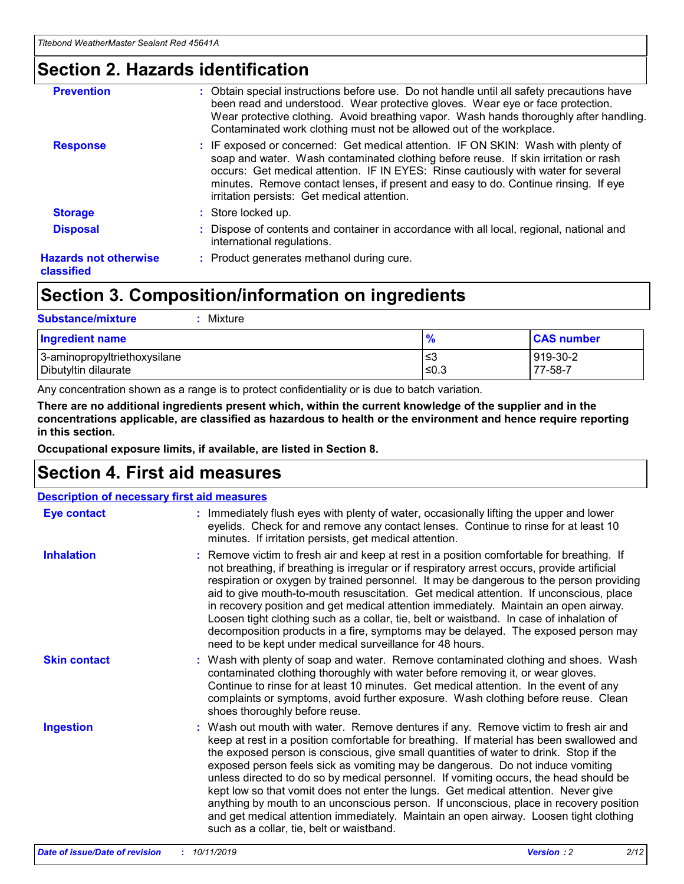### **Section 2. Hazards identification**

| <b>Prevention</b>                          | : Obtain special instructions before use. Do not handle until all safety precautions have<br>been read and understood. Wear protective gloves. Wear eye or face protection.<br>Wear protective clothing. Avoid breathing vapor. Wash hands thoroughly after handling.<br>Contaminated work clothing must not be allowed out of the workplace.                                                        |
|--------------------------------------------|------------------------------------------------------------------------------------------------------------------------------------------------------------------------------------------------------------------------------------------------------------------------------------------------------------------------------------------------------------------------------------------------------|
| <b>Response</b>                            | : IF exposed or concerned: Get medical attention. IF ON SKIN: Wash with plenty of<br>soap and water. Wash contaminated clothing before reuse. If skin irritation or rash<br>occurs: Get medical attention. IF IN EYES: Rinse cautiously with water for several<br>minutes. Remove contact lenses, if present and easy to do. Continue rinsing. If eye<br>irritation persists: Get medical attention. |
| <b>Storage</b>                             | : Store locked up.                                                                                                                                                                                                                                                                                                                                                                                   |
| <b>Disposal</b>                            | : Dispose of contents and container in accordance with all local, regional, national and<br>international regulations.                                                                                                                                                                                                                                                                               |
| <b>Hazards not otherwise</b><br>classified | : Product generates methanol during cure.                                                                                                                                                                                                                                                                                                                                                            |
|                                            |                                                                                                                                                                                                                                                                                                                                                                                                      |

### **Section 3. Composition/information on ingredients**

| <b>Substance/mixture</b><br>Mixture                  |                   |                     |
|------------------------------------------------------|-------------------|---------------------|
| <b>Ingredient name</b>                               | $\frac{9}{6}$     | <b>CAS number</b>   |
| 3-aminopropyltriethoxysilane<br>Dibutyltin dilaurate | l≤3<br>$\leq 0.3$ | 919-30-2<br>77-58-7 |

Any concentration shown as a range is to protect confidentiality or is due to batch variation.

**There are no additional ingredients present which, within the current knowledge of the supplier and in the concentrations applicable, are classified as hazardous to health or the environment and hence require reporting in this section.**

**Occupational exposure limits, if available, are listed in Section 8.**

### **Section 4. First aid measures**

| <b>Description of necessary first aid measures</b> |                                                                                                                                                                                                                                                                                                                                                                                                                                                                                                                                                                                                                                                                                                                                                                           |  |  |  |
|----------------------------------------------------|---------------------------------------------------------------------------------------------------------------------------------------------------------------------------------------------------------------------------------------------------------------------------------------------------------------------------------------------------------------------------------------------------------------------------------------------------------------------------------------------------------------------------------------------------------------------------------------------------------------------------------------------------------------------------------------------------------------------------------------------------------------------------|--|--|--|
| <b>Eye contact</b>                                 | : Immediately flush eyes with plenty of water, occasionally lifting the upper and lower<br>eyelids. Check for and remove any contact lenses. Continue to rinse for at least 10<br>minutes. If irritation persists, get medical attention.                                                                                                                                                                                                                                                                                                                                                                                                                                                                                                                                 |  |  |  |
| <b>Inhalation</b>                                  | : Remove victim to fresh air and keep at rest in a position comfortable for breathing. If<br>not breathing, if breathing is irregular or if respiratory arrest occurs, provide artificial<br>respiration or oxygen by trained personnel. It may be dangerous to the person providing<br>aid to give mouth-to-mouth resuscitation. Get medical attention. If unconscious, place<br>in recovery position and get medical attention immediately. Maintain an open airway.<br>Loosen tight clothing such as a collar, tie, belt or waistband. In case of inhalation of<br>decomposition products in a fire, symptoms may be delayed. The exposed person may<br>need to be kept under medical surveillance for 48 hours.                                                       |  |  |  |
| <b>Skin contact</b>                                | : Wash with plenty of soap and water. Remove contaminated clothing and shoes. Wash<br>contaminated clothing thoroughly with water before removing it, or wear gloves.<br>Continue to rinse for at least 10 minutes. Get medical attention. In the event of any<br>complaints or symptoms, avoid further exposure. Wash clothing before reuse. Clean<br>shoes thoroughly before reuse.                                                                                                                                                                                                                                                                                                                                                                                     |  |  |  |
| <b>Ingestion</b>                                   | : Wash out mouth with water. Remove dentures if any. Remove victim to fresh air and<br>keep at rest in a position comfortable for breathing. If material has been swallowed and<br>the exposed person is conscious, give small quantities of water to drink. Stop if the<br>exposed person feels sick as vomiting may be dangerous. Do not induce vomiting<br>unless directed to do so by medical personnel. If vomiting occurs, the head should be<br>kept low so that vomit does not enter the lungs. Get medical attention. Never give<br>anything by mouth to an unconscious person. If unconscious, place in recovery position<br>and get medical attention immediately. Maintain an open airway. Loosen tight clothing<br>such as a collar, tie, belt or waistband. |  |  |  |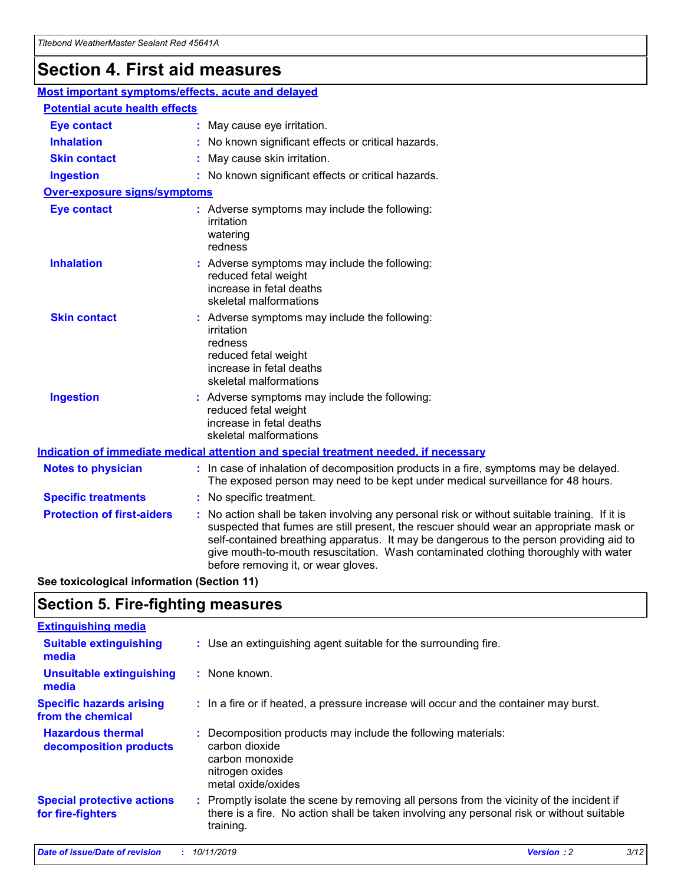## **Section 4. First aid measures**

| Most important symptoms/effects, acute and delayed |  |                                                                                                                                                                                                                                                                                                                                                                                                                 |  |  |
|----------------------------------------------------|--|-----------------------------------------------------------------------------------------------------------------------------------------------------------------------------------------------------------------------------------------------------------------------------------------------------------------------------------------------------------------------------------------------------------------|--|--|
| <b>Potential acute health effects</b>              |  |                                                                                                                                                                                                                                                                                                                                                                                                                 |  |  |
| <b>Eye contact</b>                                 |  | : May cause eye irritation.                                                                                                                                                                                                                                                                                                                                                                                     |  |  |
| <b>Inhalation</b>                                  |  | : No known significant effects or critical hazards.                                                                                                                                                                                                                                                                                                                                                             |  |  |
| <b>Skin contact</b>                                |  | : May cause skin irritation.                                                                                                                                                                                                                                                                                                                                                                                    |  |  |
| <b>Ingestion</b>                                   |  | : No known significant effects or critical hazards.                                                                                                                                                                                                                                                                                                                                                             |  |  |
| Over-exposure signs/symptoms                       |  |                                                                                                                                                                                                                                                                                                                                                                                                                 |  |  |
| <b>Eye contact</b>                                 |  | : Adverse symptoms may include the following:<br>irritation<br>watering<br>redness                                                                                                                                                                                                                                                                                                                              |  |  |
| <b>Inhalation</b>                                  |  | : Adverse symptoms may include the following:<br>reduced fetal weight<br>increase in fetal deaths<br>skeletal malformations                                                                                                                                                                                                                                                                                     |  |  |
| <b>Skin contact</b>                                |  | : Adverse symptoms may include the following:<br>irritation<br>redness<br>reduced fetal weight<br>increase in fetal deaths<br>skeletal malformations                                                                                                                                                                                                                                                            |  |  |
| <b>Ingestion</b>                                   |  | : Adverse symptoms may include the following:<br>reduced fetal weight<br>increase in fetal deaths<br>skeletal malformations                                                                                                                                                                                                                                                                                     |  |  |
|                                                    |  | <b>Indication of immediate medical attention and special treatment needed, if necessary</b>                                                                                                                                                                                                                                                                                                                     |  |  |
| <b>Notes to physician</b>                          |  | : In case of inhalation of decomposition products in a fire, symptoms may be delayed.<br>The exposed person may need to be kept under medical surveillance for 48 hours.                                                                                                                                                                                                                                        |  |  |
| <b>Specific treatments</b>                         |  | : No specific treatment.                                                                                                                                                                                                                                                                                                                                                                                        |  |  |
| <b>Protection of first-aiders</b>                  |  | : No action shall be taken involving any personal risk or without suitable training. If it is<br>suspected that fumes are still present, the rescuer should wear an appropriate mask or<br>self-contained breathing apparatus. It may be dangerous to the person providing aid to<br>give mouth-to-mouth resuscitation. Wash contaminated clothing thoroughly with water<br>before removing it, or wear gloves. |  |  |

**See toxicological information (Section 11)**

### **Section 5. Fire-fighting measures**

| <b>Extinguishing media</b>                             |                                                                                                                                                                                                     |
|--------------------------------------------------------|-----------------------------------------------------------------------------------------------------------------------------------------------------------------------------------------------------|
| <b>Suitable extinguishing</b><br>media                 | : Use an extinguishing agent suitable for the surrounding fire.                                                                                                                                     |
| <b>Unsuitable extinguishing</b><br>media               | $:$ None known.                                                                                                                                                                                     |
| <b>Specific hazards arising</b><br>from the chemical   | : In a fire or if heated, a pressure increase will occur and the container may burst.                                                                                                               |
| <b>Hazardous thermal</b><br>decomposition products     | : Decomposition products may include the following materials:<br>carbon dioxide<br>carbon monoxide<br>nitrogen oxides<br>metal oxide/oxides                                                         |
| <b>Special protective actions</b><br>for fire-fighters | : Promptly isolate the scene by removing all persons from the vicinity of the incident if<br>there is a fire. No action shall be taken involving any personal risk or without suitable<br>training. |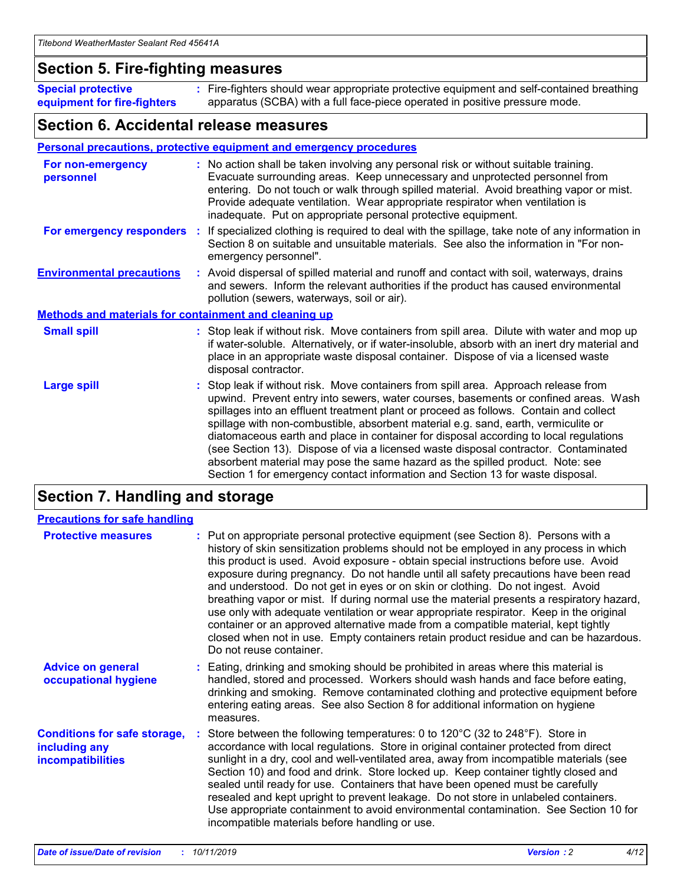### **Section 5. Fire-fighting measures**

**Special protective equipment for fire-fighters** Fire-fighters should wear appropriate protective equipment and self-contained breathing **:** apparatus (SCBA) with a full face-piece operated in positive pressure mode.

### **Section 6. Accidental release measures**

#### **Personal precautions, protective equipment and emergency procedures**

| For non-emergency<br>personnel                               | : No action shall be taken involving any personal risk or without suitable training.<br>Evacuate surrounding areas. Keep unnecessary and unprotected personnel from<br>entering. Do not touch or walk through spilled material. Avoid breathing vapor or mist.<br>Provide adequate ventilation. Wear appropriate respirator when ventilation is<br>inadequate. Put on appropriate personal protective equipment.                                                                                                                                                                                                                                                                                             |
|--------------------------------------------------------------|--------------------------------------------------------------------------------------------------------------------------------------------------------------------------------------------------------------------------------------------------------------------------------------------------------------------------------------------------------------------------------------------------------------------------------------------------------------------------------------------------------------------------------------------------------------------------------------------------------------------------------------------------------------------------------------------------------------|
|                                                              | For emergency responders : If specialized clothing is required to deal with the spillage, take note of any information in<br>Section 8 on suitable and unsuitable materials. See also the information in "For non-<br>emergency personnel".                                                                                                                                                                                                                                                                                                                                                                                                                                                                  |
| <b>Environmental precautions</b>                             | : Avoid dispersal of spilled material and runoff and contact with soil, waterways, drains<br>and sewers. Inform the relevant authorities if the product has caused environmental<br>pollution (sewers, waterways, soil or air).                                                                                                                                                                                                                                                                                                                                                                                                                                                                              |
| <b>Methods and materials for containment and cleaning up</b> |                                                                                                                                                                                                                                                                                                                                                                                                                                                                                                                                                                                                                                                                                                              |
| <b>Small spill</b>                                           | : Stop leak if without risk. Move containers from spill area. Dilute with water and mop up<br>if water-soluble. Alternatively, or if water-insoluble, absorb with an inert dry material and<br>place in an appropriate waste disposal container. Dispose of via a licensed waste<br>disposal contractor.                                                                                                                                                                                                                                                                                                                                                                                                     |
| <b>Large spill</b>                                           | : Stop leak if without risk. Move containers from spill area. Approach release from<br>upwind. Prevent entry into sewers, water courses, basements or confined areas. Wash<br>spillages into an effluent treatment plant or proceed as follows. Contain and collect<br>spillage with non-combustible, absorbent material e.g. sand, earth, vermiculite or<br>diatomaceous earth and place in container for disposal according to local regulations<br>(see Section 13). Dispose of via a licensed waste disposal contractor. Contaminated<br>absorbent material may pose the same hazard as the spilled product. Note: see<br>Section 1 for emergency contact information and Section 13 for waste disposal. |

### **Section 7. Handling and storage**

| <b>Precautions for safe handling</b>                                             |                                                                                                                                                                                                                                                                                                                                                                                                                                                                                                                                                                                                                                                                                                                                                                                                                                                  |
|----------------------------------------------------------------------------------|--------------------------------------------------------------------------------------------------------------------------------------------------------------------------------------------------------------------------------------------------------------------------------------------------------------------------------------------------------------------------------------------------------------------------------------------------------------------------------------------------------------------------------------------------------------------------------------------------------------------------------------------------------------------------------------------------------------------------------------------------------------------------------------------------------------------------------------------------|
| <b>Protective measures</b>                                                       | : Put on appropriate personal protective equipment (see Section 8). Persons with a<br>history of skin sensitization problems should not be employed in any process in which<br>this product is used. Avoid exposure - obtain special instructions before use. Avoid<br>exposure during pregnancy. Do not handle until all safety precautions have been read<br>and understood. Do not get in eyes or on skin or clothing. Do not ingest. Avoid<br>breathing vapor or mist. If during normal use the material presents a respiratory hazard,<br>use only with adequate ventilation or wear appropriate respirator. Keep in the original<br>container or an approved alternative made from a compatible material, kept tightly<br>closed when not in use. Empty containers retain product residue and can be hazardous.<br>Do not reuse container. |
| <b>Advice on general</b><br>occupational hygiene                                 | : Eating, drinking and smoking should be prohibited in areas where this material is<br>handled, stored and processed. Workers should wash hands and face before eating,<br>drinking and smoking. Remove contaminated clothing and protective equipment before<br>entering eating areas. See also Section 8 for additional information on hygiene<br>measures.                                                                                                                                                                                                                                                                                                                                                                                                                                                                                    |
| <b>Conditions for safe storage,</b><br>including any<br><b>incompatibilities</b> | : Store between the following temperatures: 0 to 120 $\degree$ C (32 to 248 $\degree$ F). Store in<br>accordance with local regulations. Store in original container protected from direct<br>sunlight in a dry, cool and well-ventilated area, away from incompatible materials (see<br>Section 10) and food and drink. Store locked up. Keep container tightly closed and<br>sealed until ready for use. Containers that have been opened must be carefully<br>resealed and kept upright to prevent leakage. Do not store in unlabeled containers.<br>Use appropriate containment to avoid environmental contamination. See Section 10 for<br>incompatible materials before handling or use.                                                                                                                                                   |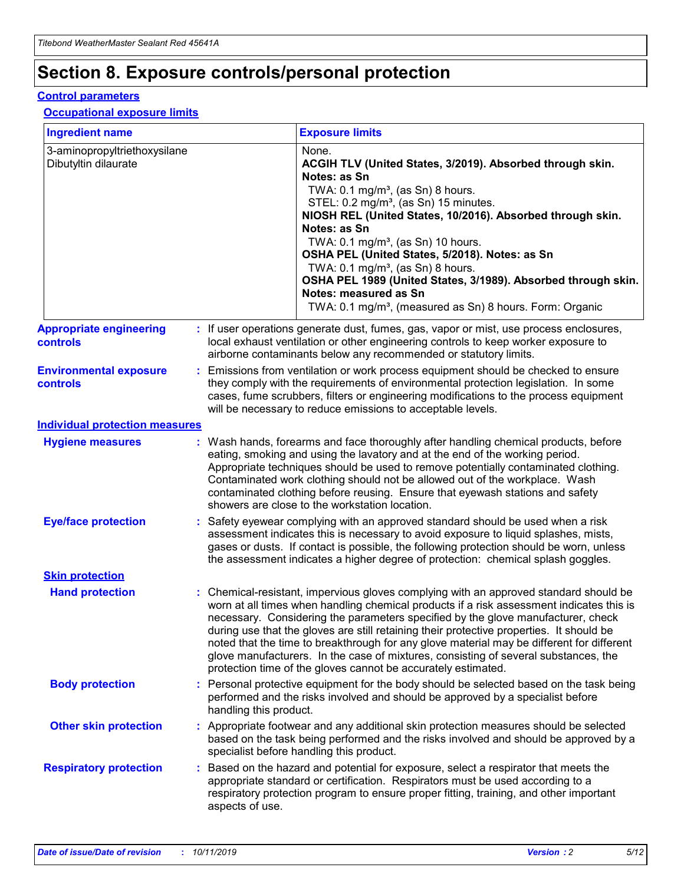## **Section 8. Exposure controls/personal protection**

#### **Control parameters**

#### **Occupational exposure limits**

| <b>Ingredient name</b>                               |    |                        | <b>Exposure limits</b>                                                                                                                                                                                                                                                                                                                                                                                                                                                                                                                                                                                                 |
|------------------------------------------------------|----|------------------------|------------------------------------------------------------------------------------------------------------------------------------------------------------------------------------------------------------------------------------------------------------------------------------------------------------------------------------------------------------------------------------------------------------------------------------------------------------------------------------------------------------------------------------------------------------------------------------------------------------------------|
| 3-aminopropyltriethoxysilane<br>Dibutyltin dilaurate |    |                        | None.<br>ACGIH TLV (United States, 3/2019). Absorbed through skin.<br>Notes: as Sn<br>TWA: 0.1 mg/m <sup>3</sup> , (as Sn) 8 hours.<br>STEL: 0.2 mg/m <sup>3</sup> , (as Sn) 15 minutes.<br>NIOSH REL (United States, 10/2016). Absorbed through skin.<br>Notes: as Sn<br>TWA: 0.1 mg/m <sup>3</sup> , (as Sn) 10 hours.<br>OSHA PEL (United States, 5/2018). Notes: as Sn<br>TWA: $0.1 \text{ mg/m}^3$ , (as Sn) 8 hours.<br>OSHA PEL 1989 (United States, 3/1989). Absorbed through skin.<br>Notes: measured as Sn<br>TWA: 0.1 mg/m <sup>3</sup> , (measured as Sn) 8 hours. Form: Organic                           |
| <b>Appropriate engineering</b><br>controls           |    |                        | : If user operations generate dust, fumes, gas, vapor or mist, use process enclosures,<br>local exhaust ventilation or other engineering controls to keep worker exposure to<br>airborne contaminants below any recommended or statutory limits.                                                                                                                                                                                                                                                                                                                                                                       |
| <b>Environmental exposure</b><br><b>controls</b>     |    |                        | Emissions from ventilation or work process equipment should be checked to ensure<br>they comply with the requirements of environmental protection legislation. In some<br>cases, fume scrubbers, filters or engineering modifications to the process equipment<br>will be necessary to reduce emissions to acceptable levels.                                                                                                                                                                                                                                                                                          |
| <b>Individual protection measures</b>                |    |                        |                                                                                                                                                                                                                                                                                                                                                                                                                                                                                                                                                                                                                        |
| <b>Hygiene measures</b>                              |    |                        | : Wash hands, forearms and face thoroughly after handling chemical products, before<br>eating, smoking and using the lavatory and at the end of the working period.<br>Appropriate techniques should be used to remove potentially contaminated clothing.<br>Contaminated work clothing should not be allowed out of the workplace. Wash<br>contaminated clothing before reusing. Ensure that eyewash stations and safety<br>showers are close to the workstation location.                                                                                                                                            |
| <b>Eye/face protection</b>                           |    |                        | : Safety eyewear complying with an approved standard should be used when a risk<br>assessment indicates this is necessary to avoid exposure to liquid splashes, mists,<br>gases or dusts. If contact is possible, the following protection should be worn, unless<br>the assessment indicates a higher degree of protection: chemical splash goggles.                                                                                                                                                                                                                                                                  |
| <b>Skin protection</b>                               |    |                        |                                                                                                                                                                                                                                                                                                                                                                                                                                                                                                                                                                                                                        |
| <b>Hand protection</b>                               |    |                        | : Chemical-resistant, impervious gloves complying with an approved standard should be<br>worn at all times when handling chemical products if a risk assessment indicates this is<br>necessary. Considering the parameters specified by the glove manufacturer, check<br>during use that the gloves are still retaining their protective properties. It should be<br>noted that the time to breakthrough for any glove material may be different for different<br>glove manufacturers. In the case of mixtures, consisting of several substances, the<br>protection time of the gloves cannot be accurately estimated. |
| <b>Body protection</b>                               |    | handling this product. | Personal protective equipment for the body should be selected based on the task being<br>performed and the risks involved and should be approved by a specialist before                                                                                                                                                                                                                                                                                                                                                                                                                                                |
| <b>Other skin protection</b>                         |    |                        | : Appropriate footwear and any additional skin protection measures should be selected<br>based on the task being performed and the risks involved and should be approved by a<br>specialist before handling this product.                                                                                                                                                                                                                                                                                                                                                                                              |
| <b>Respiratory protection</b>                        | ÷. | aspects of use.        | Based on the hazard and potential for exposure, select a respirator that meets the<br>appropriate standard or certification. Respirators must be used according to a<br>respiratory protection program to ensure proper fitting, training, and other important                                                                                                                                                                                                                                                                                                                                                         |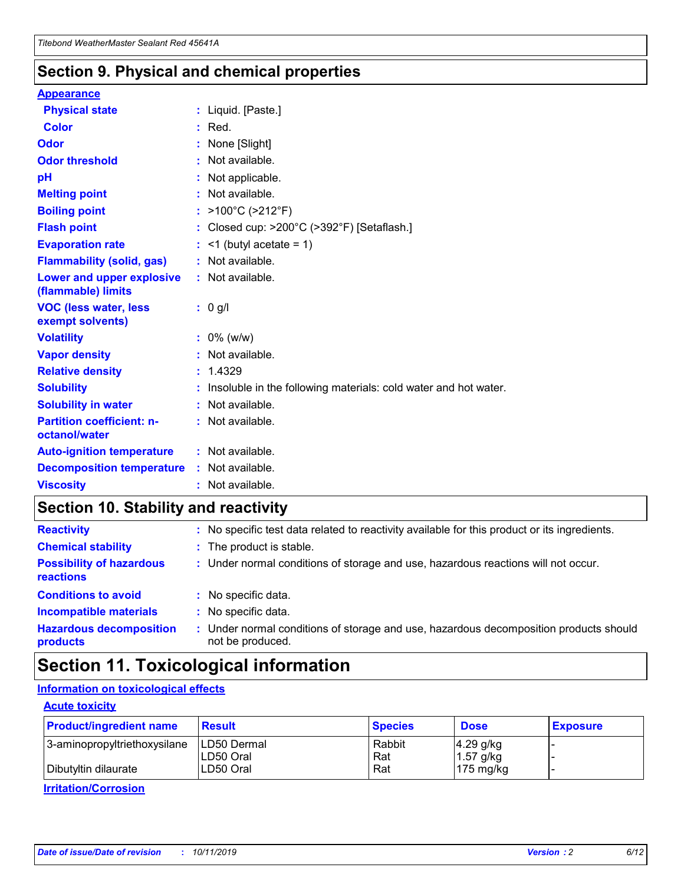### **Section 9. Physical and chemical properties**

#### **Appearance**

| <b>Physical state</b>                             | : Liquid. [Paste.]                                              |
|---------------------------------------------------|-----------------------------------------------------------------|
| Color                                             | $:$ Red.                                                        |
| Odor                                              | : None [Slight]                                                 |
| <b>Odor threshold</b>                             | : Not available.                                                |
| рH                                                | : Not applicable.                                               |
| <b>Melting point</b>                              | : Not available.                                                |
| <b>Boiling point</b>                              | : >100°C (>212°F)                                               |
| <b>Flash point</b>                                | : Closed cup: $>200^{\circ}$ C ( $>392^{\circ}$ F) [Setaflash.] |
| <b>Evaporation rate</b>                           | $:$ <1 (butyl acetate = 1)                                      |
| <b>Flammability (solid, gas)</b>                  | : Not available.                                                |
| Lower and upper explosive<br>(flammable) limits   | : Not available.                                                |
| <b>VOC (less water, less</b><br>exempt solvents)  | : 0 g/l                                                         |
| <b>Volatility</b>                                 | $: 0\%$ (w/w)                                                   |
| <b>Vapor density</b>                              | : Not available.                                                |
| <b>Relative density</b>                           | : 1.4329                                                        |
| <b>Solubility</b>                                 | Insoluble in the following materials: cold water and hot water. |
| <b>Solubility in water</b>                        | : Not available.                                                |
| <b>Partition coefficient: n-</b><br>octanol/water | $:$ Not available.                                              |
| <b>Auto-ignition temperature</b>                  | : Not available.                                                |
| <b>Decomposition temperature</b>                  | : Not available.                                                |
|                                                   |                                                                 |

### **Section 10. Stability and reactivity**

| <b>Reactivity</b>                            | : No specific test data related to reactivity available for this product or its ingredients.            |
|----------------------------------------------|---------------------------------------------------------------------------------------------------------|
| <b>Chemical stability</b>                    | : The product is stable.                                                                                |
| <b>Possibility of hazardous</b><br>reactions | : Under normal conditions of storage and use, hazardous reactions will not occur.                       |
| <b>Conditions to avoid</b>                   | : No specific data.                                                                                     |
| <b>Incompatible materials</b>                | : No specific data.                                                                                     |
| <b>Hazardous decomposition</b><br>products   | Under normal conditions of storage and use, hazardous decomposition products should<br>not be produced. |

### **Section 11. Toxicological information**

#### **Information on toxicological effects**

#### **Acute toxicity**

| <b>Product/ingredient name</b> | <b>Result</b>           | <b>Species</b> | <b>Dose</b>                | <b>Exposure</b> |
|--------------------------------|-------------------------|----------------|----------------------------|-----------------|
| 3-aminopropyltriethoxysilane   | <b>ILD50 Dermal</b>     | Rabbit         | 4.29 g/kg                  |                 |
| Dibutyltin dilaurate           | ILD50 Oral<br>LD50 Oral | Rat<br>Rat     | $1.57$ g/kg<br>175 $mg/kg$ |                 |
|                                |                         |                |                            |                 |

**Irritation/Corrosion**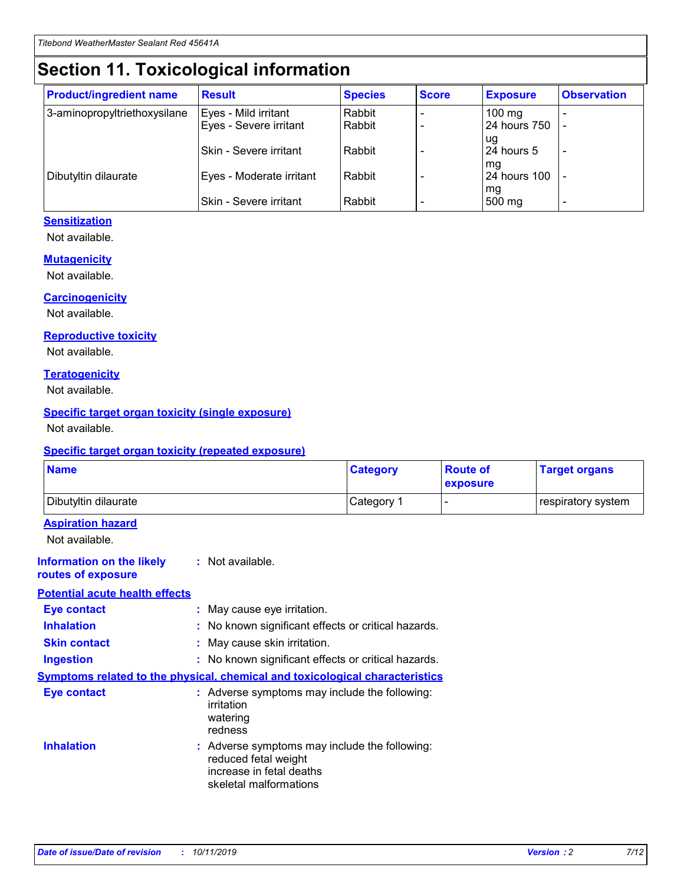## **Section 11. Toxicological information**

| <b>Product/ingredient name</b> | <b>Result</b>            | <b>Species</b> | <b>Score</b> | <b>Exposure</b>           | <b>Observation</b> |
|--------------------------------|--------------------------|----------------|--------------|---------------------------|--------------------|
| 3-aminopropyltriethoxysilane   | Eyes - Mild irritant     | Rabbit         |              | $100$ mg                  |                    |
|                                | Eyes - Severe irritant   | Rabbit         |              | 24 hours 750              |                    |
|                                |                          |                |              | ug                        |                    |
|                                | Skin - Severe irritant   | Rabbit         |              | 24 hours 5                | -                  |
| Dibutyltin dilaurate           | Eyes - Moderate irritant | Rabbit         |              | mq<br><b>24 hours 100</b> |                    |
|                                |                          |                |              | mg                        |                    |
|                                | Skin - Severe irritant   | Rabbit         |              | 500 mg                    |                    |

#### **Sensitization**

Not available.

#### **Mutagenicity**

Not available.

#### **Carcinogenicity**

Not available.

#### **Reproductive toxicity**

Not available.

#### **Teratogenicity**

Not available.

#### **Specific target organ toxicity (single exposure)**

Not available.

#### **Specific target organ toxicity (repeated exposure)**

| <b>Name</b>                                                                  |                                                                                                                             | <b>Category</b> | <b>Route of</b><br>exposure  | <b>Target organs</b> |
|------------------------------------------------------------------------------|-----------------------------------------------------------------------------------------------------------------------------|-----------------|------------------------------|----------------------|
| Dibutyltin dilaurate                                                         |                                                                                                                             | Category 1      | $\qquad \qquad \blacksquare$ | respiratory system   |
| <b>Aspiration hazard</b><br>Not available.                                   |                                                                                                                             |                 |                              |                      |
| <b>Information on the likely</b><br>routes of exposure                       | : Not available.                                                                                                            |                 |                              |                      |
| <b>Potential acute health effects</b>                                        |                                                                                                                             |                 |                              |                      |
| <b>Eye contact</b>                                                           | : May cause eye irritation.                                                                                                 |                 |                              |                      |
| <b>Inhalation</b>                                                            | : No known significant effects or critical hazards.                                                                         |                 |                              |                      |
| <b>Skin contact</b>                                                          | : May cause skin irritation.                                                                                                |                 |                              |                      |
| <b>Ingestion</b>                                                             | : No known significant effects or critical hazards.                                                                         |                 |                              |                      |
| Symptoms related to the physical, chemical and toxicological characteristics |                                                                                                                             |                 |                              |                      |
| <b>Eye contact</b>                                                           | : Adverse symptoms may include the following:<br>irritation<br>watering<br>redness                                          |                 |                              |                      |
| <b>Inhalation</b>                                                            | : Adverse symptoms may include the following:<br>reduced fetal weight<br>increase in fetal deaths<br>skeletal malformations |                 |                              |                      |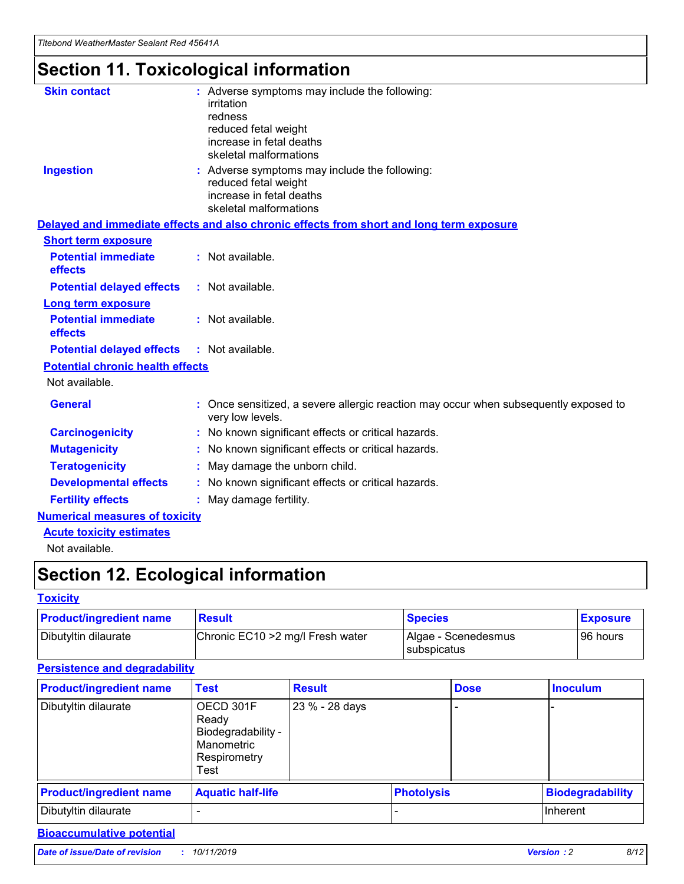## **Section 11. Toxicological information**

| <b>Skin contact</b>                     |                                                                                                          |
|-----------------------------------------|----------------------------------------------------------------------------------------------------------|
|                                         | : Adverse symptoms may include the following:<br>irritation                                              |
|                                         | redness                                                                                                  |
|                                         | reduced fetal weight                                                                                     |
|                                         | increase in fetal deaths                                                                                 |
|                                         | skeletal malformations                                                                                   |
| <b>Ingestion</b>                        | : Adverse symptoms may include the following:                                                            |
|                                         | reduced fetal weight                                                                                     |
|                                         | increase in fetal deaths                                                                                 |
|                                         | skeletal malformations                                                                                   |
|                                         | Delayed and immediate effects and also chronic effects from short and long term exposure                 |
| <b>Short term exposure</b>              |                                                                                                          |
| <b>Potential immediate</b>              | : Not available.                                                                                         |
| effects                                 |                                                                                                          |
| <b>Potential delayed effects</b>        | : Not available.                                                                                         |
| <b>Long term exposure</b>               |                                                                                                          |
| <b>Potential immediate</b>              | : Not available.                                                                                         |
| effects                                 |                                                                                                          |
| <b>Potential delayed effects</b>        | : Not available.                                                                                         |
| <b>Potential chronic health effects</b> |                                                                                                          |
| Not available.                          |                                                                                                          |
| <b>General</b>                          | : Once sensitized, a severe allergic reaction may occur when subsequently exposed to<br>very low levels. |
| <b>Carcinogenicity</b>                  | : No known significant effects or critical hazards.                                                      |
| <b>Mutagenicity</b>                     | No known significant effects or critical hazards.                                                        |
| <b>Teratogenicity</b>                   | May damage the unborn child.                                                                             |
| <b>Developmental effects</b>            | No known significant effects or critical hazards.                                                        |
| <b>Fertility effects</b>                | : May damage fertility.                                                                                  |
| <b>Numerical measures of toxicity</b>   |                                                                                                          |
| <b>Acute toxicity estimates</b>         |                                                                                                          |
|                                         |                                                                                                          |

Not available.

## **Section 12. Ecological information**

#### **Toxicity**

| <b>Product/ingredient name</b> | <b>Result</b>                     | <b>Species</b>                       | <b>Exposure</b> |
|--------------------------------|-----------------------------------|--------------------------------------|-----------------|
| Dibutyltin dilaurate           | Chronic EC10 > 2 mg/l Fresh water | Algae - Scenedesmus<br>I subspicatus | l 96 hours i    |

#### **Persistence and degradability**

| <b>Product/ingredient name</b> | <b>Test</b>                                                                    | <b>Result</b>  |                   | <b>Dose</b> | <b>Inoculum</b>         |
|--------------------------------|--------------------------------------------------------------------------------|----------------|-------------------|-------------|-------------------------|
| Dibutyltin dilaurate           | OECD 301F<br>Ready<br>Biodegradability -<br>Manometric<br>Respirometry<br>Test | 23 % - 28 days |                   |             |                         |
| <b>Product/ingredient name</b> | <b>Aquatic half-life</b>                                                       |                | <b>Photolysis</b> |             | <b>Biodegradability</b> |
| Dibutyltin dilaurate           |                                                                                |                |                   |             | Inherent                |

### **Bioaccumulative potential**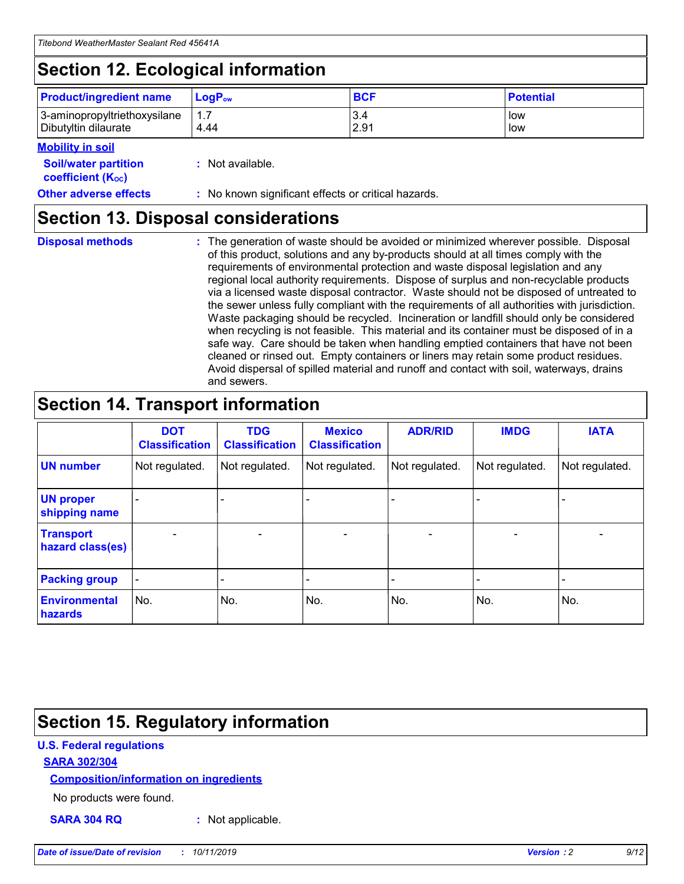## **Section 12. Ecological information**

| <b>Product/ingredient name</b> | $LoaPow$ | <b>BCF</b> | <b>Potential</b> |
|--------------------------------|----------|------------|------------------|
| 3-aminopropyltriethoxysilane   | 1.7      | 3.4        | low              |
| Dibutyltin dilaurate           | 4.44     | 2.91       | low              |

#### **Mobility in soil**

| <b>Soil/water partition</b><br>coefficient (K <sub>oc</sub> ) | : Not available.                                    |
|---------------------------------------------------------------|-----------------------------------------------------|
| <b>Other adverse effects</b>                                  | : No known significant effects or critical hazards. |

### **Section 13. Disposal considerations**

**Disposal methods :**

The generation of waste should be avoided or minimized wherever possible. Disposal of this product, solutions and any by-products should at all times comply with the requirements of environmental protection and waste disposal legislation and any regional local authority requirements. Dispose of surplus and non-recyclable products via a licensed waste disposal contractor. Waste should not be disposed of untreated to the sewer unless fully compliant with the requirements of all authorities with jurisdiction. Waste packaging should be recycled. Incineration or landfill should only be considered when recycling is not feasible. This material and its container must be disposed of in a safe way. Care should be taken when handling emptied containers that have not been cleaned or rinsed out. Empty containers or liners may retain some product residues. Avoid dispersal of spilled material and runoff and contact with soil, waterways, drains and sewers.

## **Section 14. Transport information**

|                                      | <b>DOT</b><br><b>Classification</b> | <b>TDG</b><br><b>Classification</b> | <b>Mexico</b><br><b>Classification</b> | <b>ADR/RID</b>           | <b>IMDG</b>              | <b>IATA</b>              |
|--------------------------------------|-------------------------------------|-------------------------------------|----------------------------------------|--------------------------|--------------------------|--------------------------|
| <b>UN number</b>                     | Not regulated.                      | Not regulated.                      | Not regulated.                         | Not regulated.           | Not regulated.           | Not regulated.           |
| <b>UN proper</b><br>shipping name    | $\qquad \qquad \blacksquare$        |                                     |                                        |                          |                          |                          |
| <b>Transport</b><br>hazard class(es) | $\blacksquare$                      | $\blacksquare$                      | $\blacksquare$                         | $\overline{\phantom{a}}$ | $\blacksquare$           | $\blacksquare$           |
| <b>Packing group</b>                 | $\overline{\phantom{a}}$            | $\overline{\phantom{0}}$            | $\qquad \qquad \blacksquare$           | -                        | $\overline{\phantom{0}}$ | $\overline{\phantom{a}}$ |
| <b>Environmental</b><br>hazards      | No.                                 | No.                                 | No.                                    | No.                      | No.                      | No.                      |

## **Section 15. Regulatory information**

#### **U.S. Federal regulations**

#### **SARA 302/304**

#### **Composition/information on ingredients**

No products were found.

**SARA 304 RQ :** Not applicable.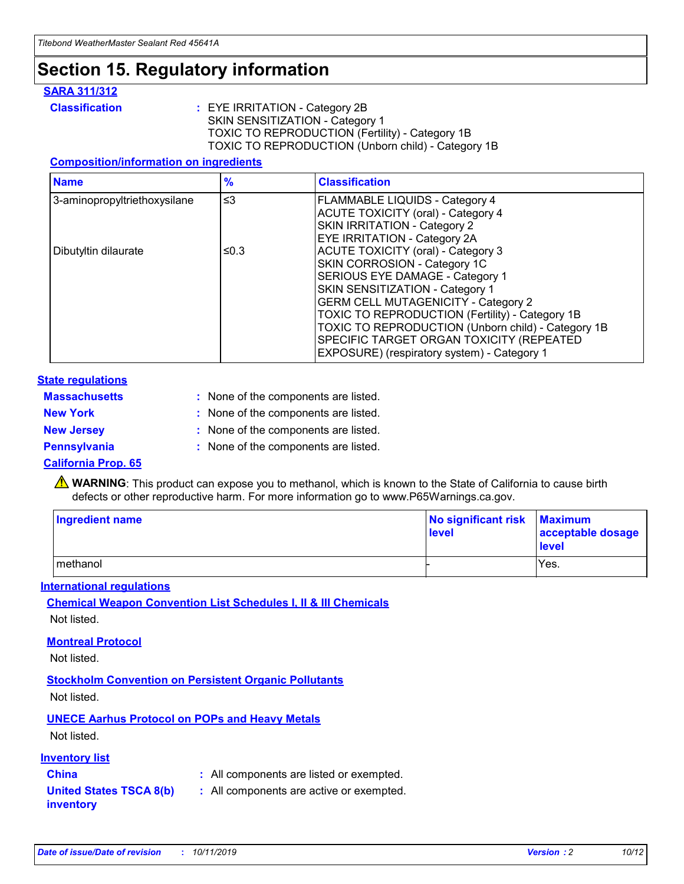## **Section 15. Regulatory information**

#### **SARA 311/312**

**Classification :** EYE IRRITATION - Category 2B SKIN SENSITIZATION - Category 1 TOXIC TO REPRODUCTION (Fertility) - Category 1B TOXIC TO REPRODUCTION (Unborn child) - Category 1B

#### **Composition/information on ingredients**

| <b>Name</b>                  | $\frac{9}{6}$ | <b>Classification</b>                                                                                            |
|------------------------------|---------------|------------------------------------------------------------------------------------------------------------------|
| 3-aminopropyltriethoxysilane | $\leq$ 3      | <b>FLAMMABLE LIQUIDS - Category 4</b><br><b>ACUTE TOXICITY (oral) - Category 4</b>                               |
|                              |               | SKIN IRRITATION - Category 2<br>EYE IRRITATION - Category 2A                                                     |
| Dibutyltin dilaurate         | ≤0.3          | ACUTE TOXICITY (oral) - Category 3<br>SKIN CORROSION - Category 1C                                               |
|                              |               | SERIOUS EYE DAMAGE - Category 1<br>SKIN SENSITIZATION - Category 1<br><b>GERM CELL MUTAGENICITY - Category 2</b> |
|                              |               | TOXIC TO REPRODUCTION (Fertility) - Category 1B<br>TOXIC TO REPRODUCTION (Unborn child) - Category 1B            |
|                              |               | SPECIFIC TARGET ORGAN TOXICITY (REPEATED<br>EXPOSURE) (respiratory system) - Category 1                          |

#### **State regulations**

| <b>Massachusetts</b> | : None of the components are listed. |
|----------------------|--------------------------------------|
| <b>New York</b>      | : None of the components are listed. |
| <b>New Jersey</b>    | : None of the components are listed. |
| <b>Pennsylvania</b>  | : None of the components are listed. |

#### **California Prop. 65**

**A** WARNING: This product can expose you to methanol, which is known to the State of California to cause birth defects or other reproductive harm. For more information go to www.P65Warnings.ca.gov.

| <b>Ingredient name</b> | No significant risk Maximum<br>level | acceptable dosage<br>level |
|------------------------|--------------------------------------|----------------------------|
| methanol               |                                      | Yes.                       |

#### **International regulations**

**Chemical Weapon Convention List Schedules I, II & III Chemicals** Not listed.

#### **Montreal Protocol**

Not listed.

**Stockholm Convention on Persistent Organic Pollutants**

Not listed.

### **UNECE Aarhus Protocol on POPs and Heavy Metals**

Not listed.

#### **Inventory list**

### **China :** All components are listed or exempted.

**United States TSCA 8(b) inventory :** All components are active or exempted.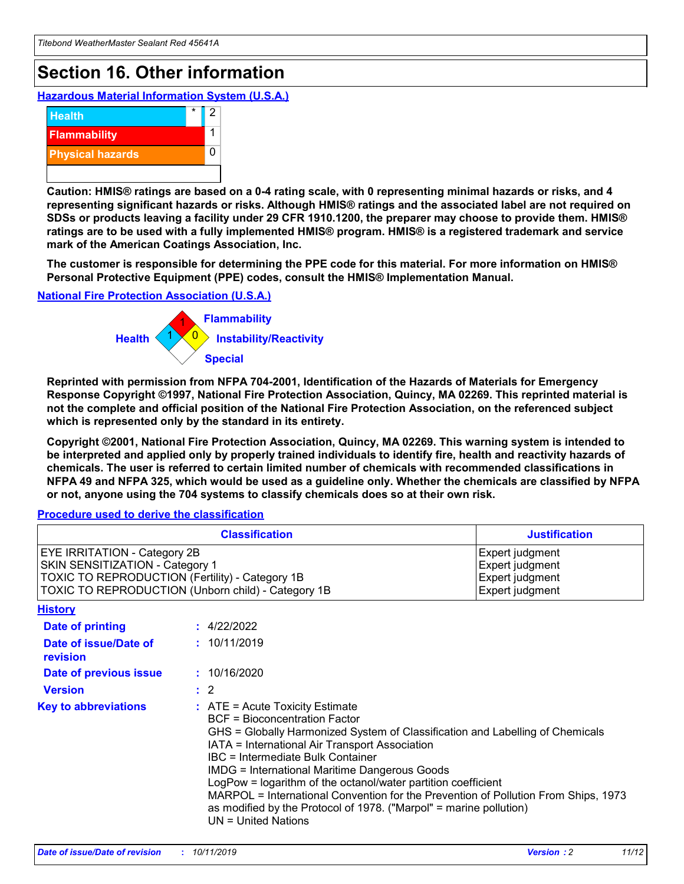## **Section 16. Other information**

**Hazardous Material Information System (U.S.A.)**



**Caution: HMIS® ratings are based on a 0-4 rating scale, with 0 representing minimal hazards or risks, and 4 representing significant hazards or risks. Although HMIS® ratings and the associated label are not required on SDSs or products leaving a facility under 29 CFR 1910.1200, the preparer may choose to provide them. HMIS® ratings are to be used with a fully implemented HMIS® program. HMIS® is a registered trademark and service mark of the American Coatings Association, Inc.**

**The customer is responsible for determining the PPE code for this material. For more information on HMIS® Personal Protective Equipment (PPE) codes, consult the HMIS® Implementation Manual.**

#### **National Fire Protection Association (U.S.A.)**



**Reprinted with permission from NFPA 704-2001, Identification of the Hazards of Materials for Emergency Response Copyright ©1997, National Fire Protection Association, Quincy, MA 02269. This reprinted material is not the complete and official position of the National Fire Protection Association, on the referenced subject which is represented only by the standard in its entirety.**

**Copyright ©2001, National Fire Protection Association, Quincy, MA 02269. This warning system is intended to be interpreted and applied only by properly trained individuals to identify fire, health and reactivity hazards of chemicals. The user is referred to certain limited number of chemicals with recommended classifications in NFPA 49 and NFPA 325, which would be used as a guideline only. Whether the chemicals are classified by NFPA or not, anyone using the 704 systems to classify chemicals does so at their own risk.**

#### **Procedure used to derive the classification**

| <b>Classification</b>                                                                                                                                                                  |                                                                                                                                                                                                                                                                   | <b>Justification</b>                                                                                                                                                                                                                                                                                       |  |
|----------------------------------------------------------------------------------------------------------------------------------------------------------------------------------------|-------------------------------------------------------------------------------------------------------------------------------------------------------------------------------------------------------------------------------------------------------------------|------------------------------------------------------------------------------------------------------------------------------------------------------------------------------------------------------------------------------------------------------------------------------------------------------------|--|
| <b>EYE IRRITATION - Category 2B</b><br>SKIN SENSITIZATION - Category 1<br><b>TOXIC TO REPRODUCTION (Fertility) - Category 1B</b><br>TOXIC TO REPRODUCTION (Unborn child) - Category 1B |                                                                                                                                                                                                                                                                   | Expert judgment<br>Expert judgment<br>Expert judgment<br>Expert judgment                                                                                                                                                                                                                                   |  |
| <b>History</b>                                                                                                                                                                         |                                                                                                                                                                                                                                                                   |                                                                                                                                                                                                                                                                                                            |  |
| <b>Date of printing</b>                                                                                                                                                                | : 4/22/2022                                                                                                                                                                                                                                                       |                                                                                                                                                                                                                                                                                                            |  |
| Date of issue/Date of<br>revision                                                                                                                                                      | : 10/11/2019                                                                                                                                                                                                                                                      |                                                                                                                                                                                                                                                                                                            |  |
| Date of previous issue                                                                                                                                                                 | : 10/16/2020                                                                                                                                                                                                                                                      |                                                                                                                                                                                                                                                                                                            |  |
| <b>Version</b>                                                                                                                                                                         | $\therefore$ 2                                                                                                                                                                                                                                                    |                                                                                                                                                                                                                                                                                                            |  |
| <b>Key to abbreviations</b>                                                                                                                                                            | $\therefore$ ATE = Acute Toxicity Estimate<br><b>BCF</b> = Bioconcentration Factor<br>IATA = International Air Transport Association<br><b>IBC</b> = Intermediate Bulk Container<br><b>IMDG = International Maritime Dangerous Goods</b><br>$UN = United Nations$ | GHS = Globally Harmonized System of Classification and Labelling of Chemicals<br>LogPow = logarithm of the octanol/water partition coefficient<br>MARPOL = International Convention for the Prevention of Pollution From Ships, 1973<br>as modified by the Protocol of 1978. ("Marpol" = marine pollution) |  |